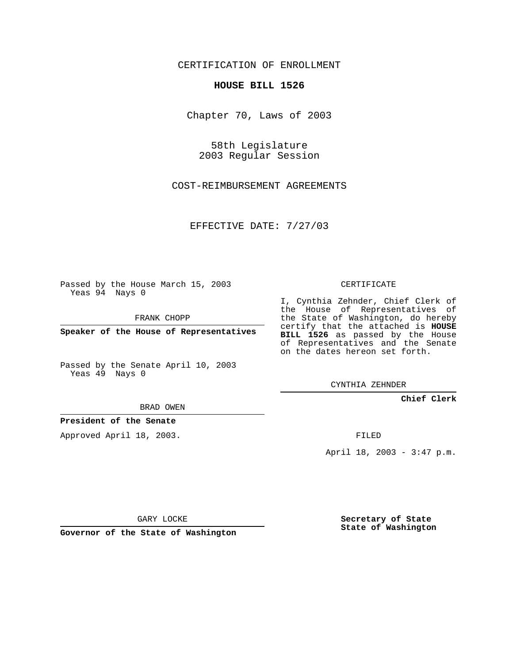CERTIFICATION OF ENROLLMENT

## **HOUSE BILL 1526**

Chapter 70, Laws of 2003

58th Legislature 2003 Regular Session

COST-REIMBURSEMENT AGREEMENTS

EFFECTIVE DATE: 7/27/03

Passed by the House March 15, 2003 Yeas 94 Nays 0

FRANK CHOPP

**Speaker of the House of Representatives**

Passed by the Senate April 10, 2003 Yeas 49 Nays 0

BRAD OWEN

**President of the Senate**

Approved April 18, 2003.

CERTIFICATE

I, Cynthia Zehnder, Chief Clerk of the House of Representatives of the State of Washington, do hereby certify that the attached is **HOUSE BILL 1526** as passed by the House of Representatives and the Senate on the dates hereon set forth.

CYNTHIA ZEHNDER

**Chief Clerk**

FILED

April 18, 2003 - 3:47 p.m.

GARY LOCKE

**Governor of the State of Washington**

**Secretary of State State of Washington**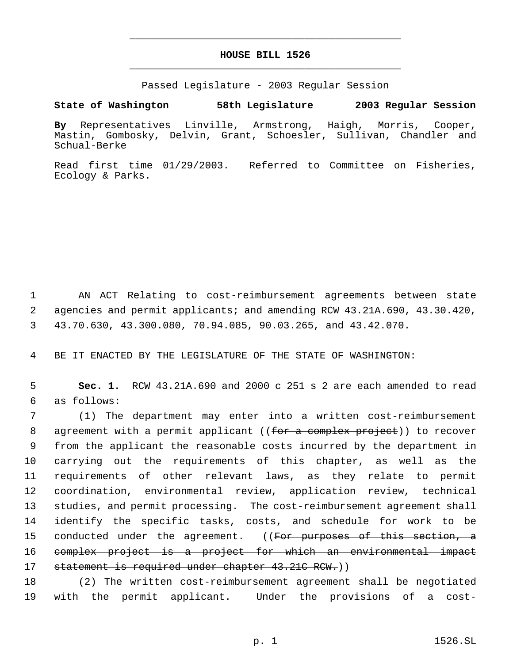## **HOUSE BILL 1526** \_\_\_\_\_\_\_\_\_\_\_\_\_\_\_\_\_\_\_\_\_\_\_\_\_\_\_\_\_\_\_\_\_\_\_\_\_\_\_\_\_\_\_\_\_

\_\_\_\_\_\_\_\_\_\_\_\_\_\_\_\_\_\_\_\_\_\_\_\_\_\_\_\_\_\_\_\_\_\_\_\_\_\_\_\_\_\_\_\_\_

Passed Legislature - 2003 Regular Session

**State of Washington 58th Legislature 2003 Regular Session**

**By** Representatives Linville, Armstrong, Haigh, Morris, Cooper, Mastin, Gombosky, Delvin, Grant, Schoesler, Sullivan, Chandler and Schual-Berke

Read first time 01/29/2003. Referred to Committee on Fisheries, Ecology & Parks.

 1 AN ACT Relating to cost-reimbursement agreements between state 2 agencies and permit applicants; and amending RCW 43.21A.690, 43.30.420, 3 43.70.630, 43.300.080, 70.94.085, 90.03.265, and 43.42.070.

4 BE IT ENACTED BY THE LEGISLATURE OF THE STATE OF WASHINGTON:

 5 **Sec. 1.** RCW 43.21A.690 and 2000 c 251 s 2 are each amended to read 6 as follows:

 (1) The department may enter into a written cost-reimbursement 8 agreement with a permit applicant ((for a complex project)) to recover from the applicant the reasonable costs incurred by the department in carrying out the requirements of this chapter, as well as the requirements of other relevant laws, as they relate to permit coordination, environmental review, application review, technical studies, and permit processing. The cost-reimbursement agreement shall identify the specific tasks, costs, and schedule for work to be 15 conducted under the agreement. ((<del>For purposes of this section, a</del> complex project is a project for which an environmental impact 17 statement is required under chapter 43.21C RCW.))

18 (2) The written cost-reimbursement agreement shall be negotiated 19 with the permit applicant. Under the provisions of a cost-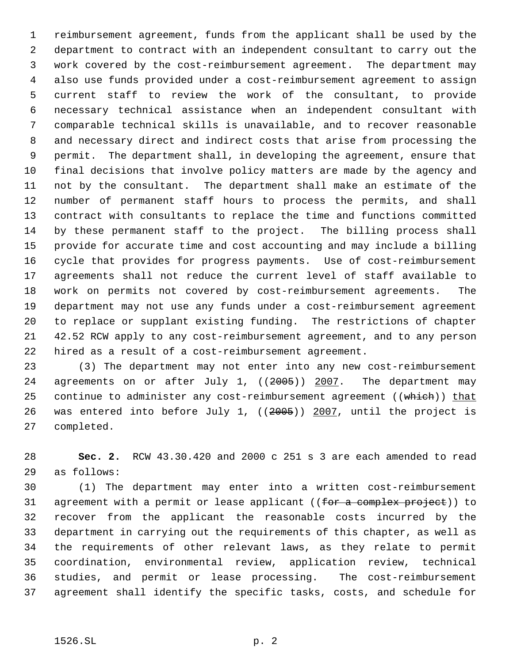reimbursement agreement, funds from the applicant shall be used by the department to contract with an independent consultant to carry out the work covered by the cost-reimbursement agreement. The department may also use funds provided under a cost-reimbursement agreement to assign current staff to review the work of the consultant, to provide necessary technical assistance when an independent consultant with comparable technical skills is unavailable, and to recover reasonable and necessary direct and indirect costs that arise from processing the permit. The department shall, in developing the agreement, ensure that final decisions that involve policy matters are made by the agency and not by the consultant. The department shall make an estimate of the number of permanent staff hours to process the permits, and shall contract with consultants to replace the time and functions committed by these permanent staff to the project. The billing process shall provide for accurate time and cost accounting and may include a billing cycle that provides for progress payments. Use of cost-reimbursement agreements shall not reduce the current level of staff available to work on permits not covered by cost-reimbursement agreements. The department may not use any funds under a cost-reimbursement agreement to replace or supplant existing funding. The restrictions of chapter 42.52 RCW apply to any cost-reimbursement agreement, and to any person hired as a result of a cost-reimbursement agreement.

 (3) The department may not enter into any new cost-reimbursement 24 agreements on or after July 1, ((2005)) 2007. The department may 25 continue to administer any cost-reimbursement agreement ((which)) that was entered into before July 1, ((2005)) 2007, until the project is completed.

 **Sec. 2.** RCW 43.30.420 and 2000 c 251 s 3 are each amended to read as follows:

 (1) The department may enter into a written cost-reimbursement 31 agreement with a permit or lease applicant ((for a complex project)) to recover from the applicant the reasonable costs incurred by the department in carrying out the requirements of this chapter, as well as the requirements of other relevant laws, as they relate to permit coordination, environmental review, application review, technical studies, and permit or lease processing. The cost-reimbursement agreement shall identify the specific tasks, costs, and schedule for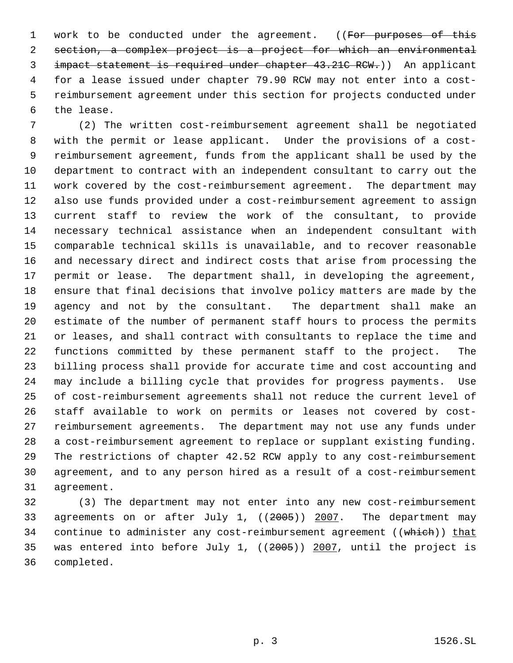1 work to be conducted under the agreement. ((For purposes of this section, a complex project is a project for which an environmental impact statement is required under chapter 43.21C RCW.)) An applicant for a lease issued under chapter 79.90 RCW may not enter into a cost- reimbursement agreement under this section for projects conducted under the lease.

 (2) The written cost-reimbursement agreement shall be negotiated with the permit or lease applicant. Under the provisions of a cost- reimbursement agreement, funds from the applicant shall be used by the department to contract with an independent consultant to carry out the work covered by the cost-reimbursement agreement. The department may also use funds provided under a cost-reimbursement agreement to assign current staff to review the work of the consultant, to provide necessary technical assistance when an independent consultant with comparable technical skills is unavailable, and to recover reasonable and necessary direct and indirect costs that arise from processing the permit or lease. The department shall, in developing the agreement, ensure that final decisions that involve policy matters are made by the agency and not by the consultant. The department shall make an estimate of the number of permanent staff hours to process the permits or leases, and shall contract with consultants to replace the time and functions committed by these permanent staff to the project. The billing process shall provide for accurate time and cost accounting and may include a billing cycle that provides for progress payments. Use of cost-reimbursement agreements shall not reduce the current level of staff available to work on permits or leases not covered by cost- reimbursement agreements. The department may not use any funds under a cost-reimbursement agreement to replace or supplant existing funding. The restrictions of chapter 42.52 RCW apply to any cost-reimbursement agreement, and to any person hired as a result of a cost-reimbursement agreement.

 (3) The department may not enter into any new cost-reimbursement agreements on or after July 1, ((2005)) 2007. The department may 34 continue to administer any cost-reimbursement agreement ((which)) that was entered into before July 1, ((2005)) 2007, until the project is completed.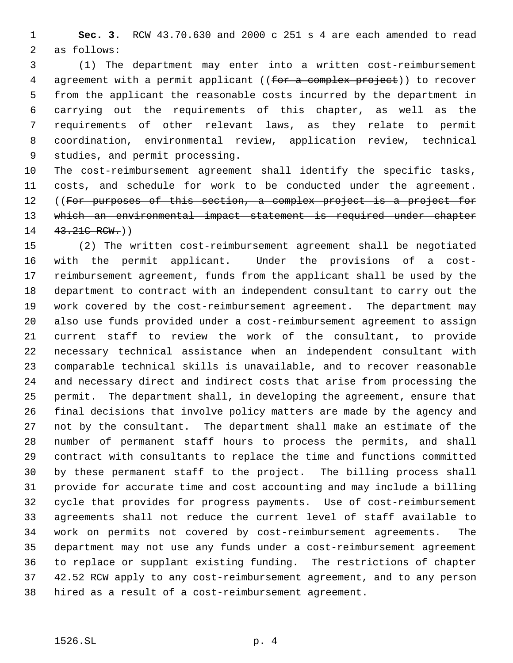**Sec. 3.** RCW 43.70.630 and 2000 c 251 s 4 are each amended to read as follows:

 (1) The department may enter into a written cost-reimbursement 4 agreement with a permit applicant ((for a complex project)) to recover from the applicant the reasonable costs incurred by the department in carrying out the requirements of this chapter, as well as the requirements of other relevant laws, as they relate to permit coordination, environmental review, application review, technical studies, and permit processing.

 The cost-reimbursement agreement shall identify the specific tasks, costs, and schedule for work to be conducted under the agreement. 12 ((For purposes of this section, a complex project is a project for which an environmental impact statement is required under chapter 14 43.21C RCW.)

 (2) The written cost-reimbursement agreement shall be negotiated with the permit applicant. Under the provisions of a cost- reimbursement agreement, funds from the applicant shall be used by the department to contract with an independent consultant to carry out the work covered by the cost-reimbursement agreement. The department may also use funds provided under a cost-reimbursement agreement to assign current staff to review the work of the consultant, to provide necessary technical assistance when an independent consultant with comparable technical skills is unavailable, and to recover reasonable and necessary direct and indirect costs that arise from processing the permit. The department shall, in developing the agreement, ensure that final decisions that involve policy matters are made by the agency and not by the consultant. The department shall make an estimate of the number of permanent staff hours to process the permits, and shall contract with consultants to replace the time and functions committed by these permanent staff to the project. The billing process shall provide for accurate time and cost accounting and may include a billing cycle that provides for progress payments. Use of cost-reimbursement agreements shall not reduce the current level of staff available to work on permits not covered by cost-reimbursement agreements. The department may not use any funds under a cost-reimbursement agreement to replace or supplant existing funding. The restrictions of chapter 42.52 RCW apply to any cost-reimbursement agreement, and to any person hired as a result of a cost-reimbursement agreement.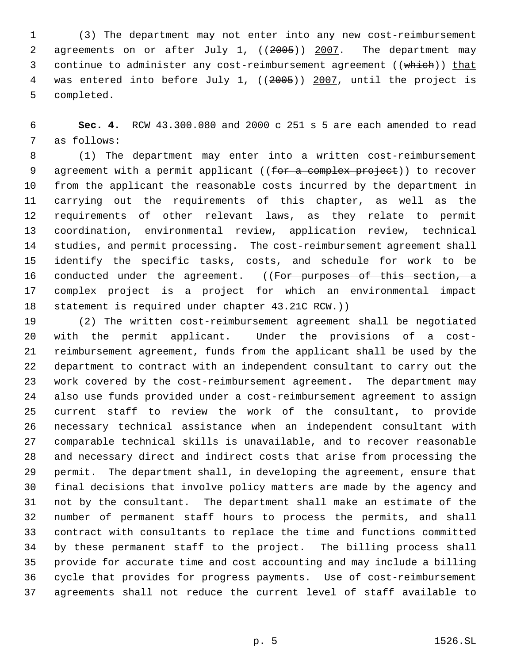(3) The department may not enter into any new cost-reimbursement 2 agreements on or after July 1, ((2005)) 2007. The department may 3 continue to administer any cost-reimbursement agreement ((which)) that 4 was entered into before July 1, ((2005)) 2007, until the project is completed.

 **Sec. 4.** RCW 43.300.080 and 2000 c 251 s 5 are each amended to read as follows:

 (1) The department may enter into a written cost-reimbursement 9 agreement with a permit applicant ((for a complex project)) to recover from the applicant the reasonable costs incurred by the department in carrying out the requirements of this chapter, as well as the requirements of other relevant laws, as they relate to permit coordination, environmental review, application review, technical studies, and permit processing. The cost-reimbursement agreement shall identify the specific tasks, costs, and schedule for work to be 16 conducted under the agreement. ((For purposes of this section, a complex project is a project for which an environmental impact 18 statement is required under chapter 43.21C RCW.))

 (2) The written cost-reimbursement agreement shall be negotiated with the permit applicant. Under the provisions of a cost- reimbursement agreement, funds from the applicant shall be used by the department to contract with an independent consultant to carry out the work covered by the cost-reimbursement agreement. The department may also use funds provided under a cost-reimbursement agreement to assign current staff to review the work of the consultant, to provide necessary technical assistance when an independent consultant with comparable technical skills is unavailable, and to recover reasonable and necessary direct and indirect costs that arise from processing the permit. The department shall, in developing the agreement, ensure that final decisions that involve policy matters are made by the agency and not by the consultant. The department shall make an estimate of the number of permanent staff hours to process the permits, and shall contract with consultants to replace the time and functions committed by these permanent staff to the project. The billing process shall provide for accurate time and cost accounting and may include a billing cycle that provides for progress payments. Use of cost-reimbursement agreements shall not reduce the current level of staff available to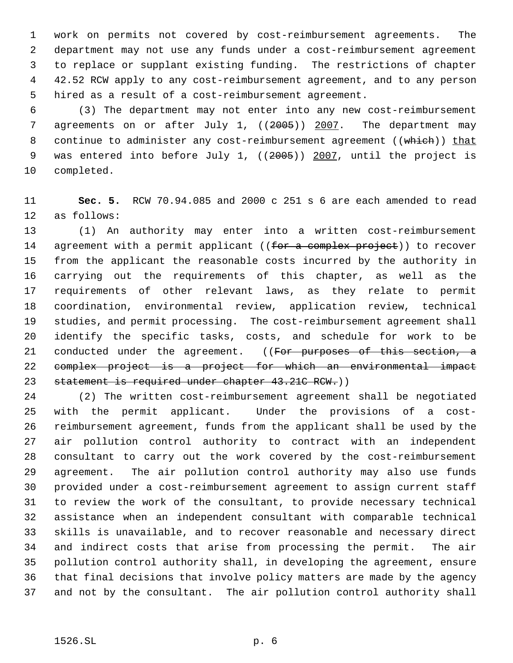work on permits not covered by cost-reimbursement agreements. The department may not use any funds under a cost-reimbursement agreement to replace or supplant existing funding. The restrictions of chapter 42.52 RCW apply to any cost-reimbursement agreement, and to any person hired as a result of a cost-reimbursement agreement.

 (3) The department may not enter into any new cost-reimbursement 7 agreements on or after July 1, ((2005)) 2007. The department may 8 continue to administer any cost-reimbursement agreement ((which)) that 9 was entered into before July 1, ((2005)) 2007, until the project is completed.

 **Sec. 5.** RCW 70.94.085 and 2000 c 251 s 6 are each amended to read as follows:

 (1) An authority may enter into a written cost-reimbursement 14 agreement with a permit applicant ((for a complex project)) to recover from the applicant the reasonable costs incurred by the authority in carrying out the requirements of this chapter, as well as the requirements of other relevant laws, as they relate to permit coordination, environmental review, application review, technical studies, and permit processing. The cost-reimbursement agreement shall identify the specific tasks, costs, and schedule for work to be 21 conducted under the agreement. ((For purposes of this section, a complex project is a project for which an environmental impact 23 statement is required under chapter 43.21C RCW.))

 (2) The written cost-reimbursement agreement shall be negotiated with the permit applicant. Under the provisions of a cost- reimbursement agreement, funds from the applicant shall be used by the air pollution control authority to contract with an independent consultant to carry out the work covered by the cost-reimbursement agreement. The air pollution control authority may also use funds provided under a cost-reimbursement agreement to assign current staff to review the work of the consultant, to provide necessary technical assistance when an independent consultant with comparable technical skills is unavailable, and to recover reasonable and necessary direct and indirect costs that arise from processing the permit. The air pollution control authority shall, in developing the agreement, ensure that final decisions that involve policy matters are made by the agency and not by the consultant. The air pollution control authority shall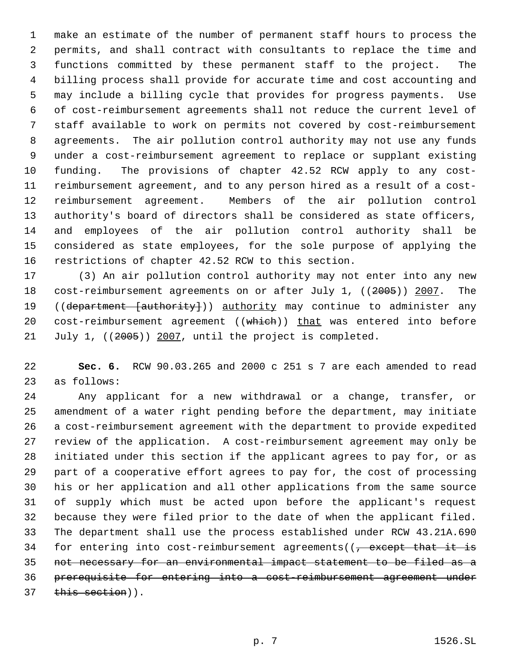make an estimate of the number of permanent staff hours to process the permits, and shall contract with consultants to replace the time and functions committed by these permanent staff to the project. The billing process shall provide for accurate time and cost accounting and may include a billing cycle that provides for progress payments. Use of cost-reimbursement agreements shall not reduce the current level of staff available to work on permits not covered by cost-reimbursement agreements. The air pollution control authority may not use any funds under a cost-reimbursement agreement to replace or supplant existing funding. The provisions of chapter 42.52 RCW apply to any cost- reimbursement agreement, and to any person hired as a result of a cost- reimbursement agreement. Members of the air pollution control authority's board of directors shall be considered as state officers, and employees of the air pollution control authority shall be considered as state employees, for the sole purpose of applying the restrictions of chapter 42.52 RCW to this section.

 (3) An air pollution control authority may not enter into any new 18 cost-reimbursement agreements on or after July 1, ((2005)) 2007. The 19 ((department [authority])) authority may continue to administer any 20 cost-reimbursement agreement ((which)) that was entered into before 21 July 1, ((2005)) 2007, until the project is completed.

 **Sec. 6.** RCW 90.03.265 and 2000 c 251 s 7 are each amended to read as follows:

 Any applicant for a new withdrawal or a change, transfer, or amendment of a water right pending before the department, may initiate a cost-reimbursement agreement with the department to provide expedited review of the application. A cost-reimbursement agreement may only be initiated under this section if the applicant agrees to pay for, or as part of a cooperative effort agrees to pay for, the cost of processing his or her application and all other applications from the same source of supply which must be acted upon before the applicant's request because they were filed prior to the date of when the applicant filed. The department shall use the process established under RCW 43.21A.690 34 for entering into cost-reimbursement agreements( $\sqrt{ }$  except that it is not necessary for an environmental impact statement to be filed as a prerequisite for entering into a cost-reimbursement agreement under 37 this section)).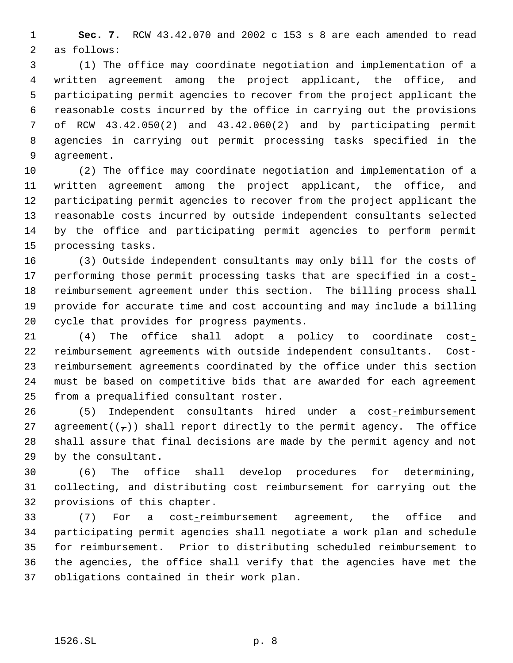**Sec. 7.** RCW 43.42.070 and 2002 c 153 s 8 are each amended to read as follows:

 (1) The office may coordinate negotiation and implementation of a written agreement among the project applicant, the office, and participating permit agencies to recover from the project applicant the reasonable costs incurred by the office in carrying out the provisions of RCW 43.42.050(2) and 43.42.060(2) and by participating permit agencies in carrying out permit processing tasks specified in the agreement.

 (2) The office may coordinate negotiation and implementation of a written agreement among the project applicant, the office, and participating permit agencies to recover from the project applicant the reasonable costs incurred by outside independent consultants selected by the office and participating permit agencies to perform permit processing tasks.

 (3) Outside independent consultants may only bill for the costs of 17 performing those permit processing tasks that are specified in a cost- reimbursement agreement under this section. The billing process shall provide for accurate time and cost accounting and may include a billing cycle that provides for progress payments.

 (4) The office shall adopt a policy to coordinate cost-22 reimbursement agreements with outside independent consultants. Cost- reimbursement agreements coordinated by the office under this section must be based on competitive bids that are awarded for each agreement from a prequalified consultant roster.

 (5) Independent consultants hired under a cost-reimbursement 27 agreement( $(\tau)$ ) shall report directly to the permit agency. The office shall assure that final decisions are made by the permit agency and not by the consultant.

 (6) The office shall develop procedures for determining, collecting, and distributing cost reimbursement for carrying out the provisions of this chapter.

 (7) For a cost-reimbursement agreement, the office and participating permit agencies shall negotiate a work plan and schedule for reimbursement. Prior to distributing scheduled reimbursement to the agencies, the office shall verify that the agencies have met the obligations contained in their work plan.